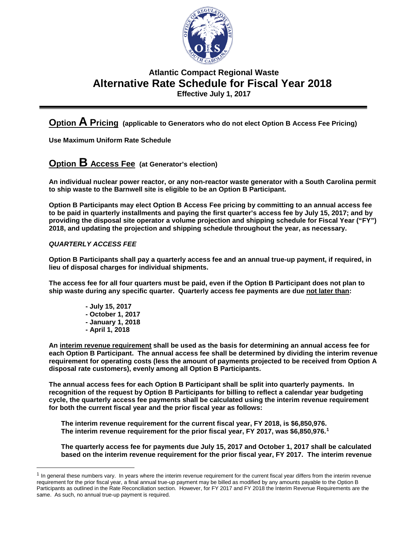

# **Atlantic Compact Regional Waste Alternative Rate Schedule for Fiscal Year 2018 Effective July 1, 2017**

**Option A Pricing (applicable to Generators who do not elect Option B Access Fee Pricing)**

**Use Maximum Uniform Rate Schedule** 

**Option B Access Fee (at Generator's election)** 

**An individual nuclear power reactor, or any non-reactor waste generator with a South Carolina permit to ship waste to the Barnwell site is eligible to be an Option B Participant.**

**Option B Participants may elect Option B Access Fee pricing by committing to an annual access fee to be paid in quarterly installments and paying the first quarter's access fee by July 15, 2017; and by providing the disposal site operator a volume projection and shipping schedule for Fiscal Year ("FY") 2018, and updating the projection and shipping schedule throughout the year, as necessary.** 

## *QUARTERLY ACCESS FEE*

**Option B Participants shall pay a quarterly access fee and an annual true-up payment, if required, in lieu of disposal charges for individual shipments.** 

**The access fee for all four quarters must be paid, even if the Option B Participant does not plan to ship waste during any specific quarter. Quarterly access fee payments are due not later than:**

> **- July 15, 2017 - October 1, 2017 - January 1, 2018 - April 1, 2018**

**An interim revenue requirement shall be used as the basis for determining an annual access fee for each Option B Participant. The annual access fee shall be determined by dividing the interim revenue requirement for operating costs (less the amount of payments projected to be received from Option A** 

**disposal rate customers), evenly among all Option B Participants.**

**The annual access fees for each Option B Participant shall be split into quarterly payments. In recognition of the request by Option B Participants for billing to reflect a calendar year budgeting cycle, the quarterly access fee payments shall be calculated using the interim revenue requirement for both the current fiscal year and the prior fiscal year as follows:** 

**The interim revenue requirement for the current fiscal year, FY 2018, is \$6,850,976. The interim revenue requirement for the prior fiscal year, FY 2017, was \$6,850,976.[1](#page-0-0)**

**The quarterly access fee for payments due July 15, 2017 and October 1, 2017 shall be calculated based on the interim revenue requirement for the prior fiscal year, FY 2017. The interim revenue** 

<span id="page-0-0"></span> $<sup>1</sup>$  In general these numbers vary. In years where the interim revenue requirement for the current fiscal year differs from the interim revenue</sup> requirement for the prior fiscal year, a final annual true-up payment may be billed as modified by any amounts payable to the Option B Participants as outlined in the Rate Reconciliation section. However, for FY 2017 and FY 2018 the Interim Revenue Requirements are the same. As such, no annual true-up payment is required.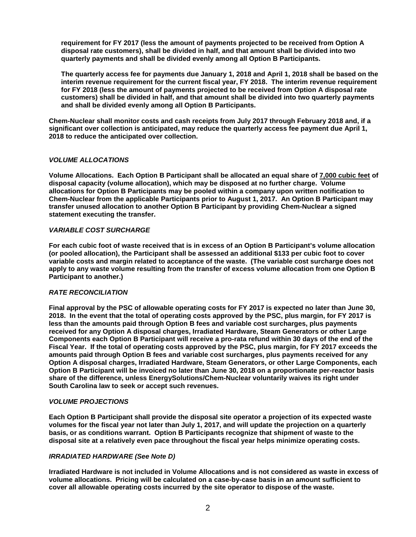**requirement for FY 2017 (less the amount of payments projected to be received from Option A disposal rate customers), shall be divided in half, and that amount shall be divided into two quarterly payments and shall be divided evenly among all Option B Participants.** 

**The quarterly access fee for payments due January 1, 2018 and April 1, 2018 shall be based on the interim revenue requirement for the current fiscal year, FY 2018. The interim revenue requirement for FY 2018 (less the amount of payments projected to be received from Option A disposal rate customers) shall be divided in half, and that amount shall be divided into two quarterly payments and shall be divided evenly among all Option B Participants.**

**Chem-Nuclear shall monitor costs and cash receipts from July 2017 through February 2018 and, if a significant over collection is anticipated, may reduce the quarterly access fee payment due April 1, 2018 to reduce the anticipated over collection.**

### *VOLUME ALLOCATIONS*

**Volume Allocations. Each Option B Participant shall be allocated an equal share of 7,000 cubic feet of disposal capacity (volume allocation), which may be disposed at no further charge. Volume allocations for Option B Participants may be pooled within a company upon written notification to Chem-Nuclear from the applicable Participants prior to August 1, 2017. An Option B Participant may transfer unused allocation to another Option B Participant by providing Chem-Nuclear a signed statement executing the transfer.** 

#### *VARIABLE COST SURCHARGE*

**For each cubic foot of waste received that is in excess of an Option B Participant's volume allocation (or pooled allocation), the Participant shall be assessed an additional \$133 per cubic foot to cover variable costs and margin related to acceptance of the waste. (The variable cost surcharge does not apply to any waste volume resulting from the transfer of excess volume allocation from one Option B Participant to another.)** 

#### *RATE RECONCILIATION*

**Final approval by the PSC of allowable operating costs for FY 2017 is expected no later than June 30, 2018. In the event that the total of operating costs approved by the PSC, plus margin, for FY 2017 is less than the amounts paid through Option B fees and variable cost surcharges, plus payments received for any Option A disposal charges, Irradiated Hardware, Steam Generators or other Large Components each Option B Participant will receive a pro-rata refund within 30 days of the end of the Fiscal Year. If the total of operating costs approved by the PSC, plus margin, for FY 2017 exceeds the amounts paid through Option B fees and variable cost surcharges, plus payments received for any Option A disposal charges, Irradiated Hardware, Steam Generators, or other Large Components, each Option B Participant will be invoiced no later than June 30, 2018 on a proportionate per-reactor basis share of the difference, unless EnergySolutions/Chem-Nuclear voluntarily waives its right under South Carolina law to seek or accept such revenues.**

#### *VOLUME PROJECTIONS*

**Each Option B Participant shall provide the disposal site operator a projection of its expected waste volumes for the fiscal year not later than July 1, 2017, and will update the projection on a quarterly basis, or as conditions warrant. Option B Participants recognize that shipment of waste to the disposal site at a relatively even pace throughout the fiscal year helps minimize operating costs.** 

#### *IRRADIATED HARDWARE (See Note D)*

**Irradiated Hardware is not included in Volume Allocations and is not considered as waste in excess of volume allocations. Pricing will be calculated on a case-by-case basis in an amount sufficient to cover all allowable operating costs incurred by the site operator to dispose of the waste.**